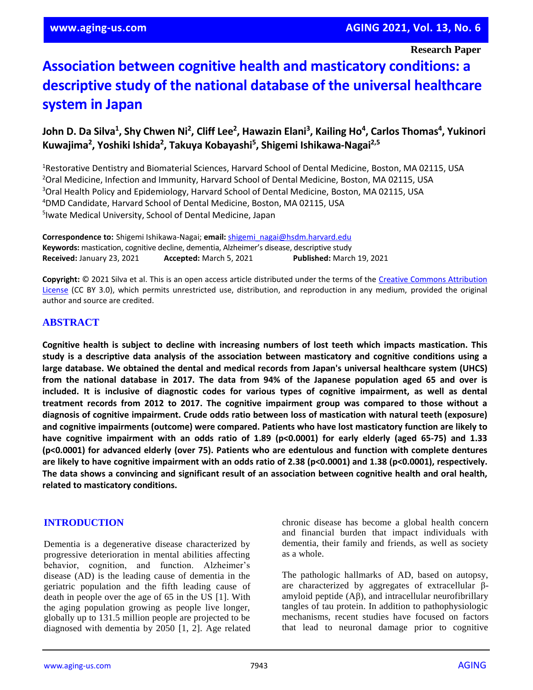**Research Paper**

# **Association between cognitive health and masticatory conditions: a descriptive study of the national database of the universal healthcare system in Japan**

# **John D. Da Silva<sup>1</sup> , Shy Chwen Ni<sup>2</sup> , Cliff Lee<sup>2</sup> , Hawazin Elani<sup>3</sup> , Kailing Ho<sup>4</sup> , Carlos Thomas<sup>4</sup> , Yukinori Kuwajima<sup>2</sup> , Yoshiki Ishida<sup>2</sup> , Takuya Kobayashi<sup>5</sup> , Shigemi Ishikawa-Nagai2,5**

Restorative Dentistry and Biomaterial Sciences, Harvard School of Dental Medicine, Boston, MA 02115, USA Oral Medicine, Infection and Immunity, Harvard School of Dental Medicine, Boston, MA 02115, USA <sup>3</sup>Oral Health Policy and Epidemiology, Harvard School of Dental Medicine, Boston, MA 02115, USA DMD Candidate, Harvard School of Dental Medicine, Boston, MA 02115, USA Iwate Medical University, School of Dental Medicine, Japan

**Correspondence to:** Shigemi Ishikawa-Nagai; **email:** [shigemi\\_nagai@hsdm.harvard.edu](mailto:shigemi_nagai@hsdm.harvard.edu) **Keywords:** mastication, cognitive decline, dementia, Alzheimer's disease, descriptive study **Received:** January 23, 2021 **Accepted:** March 5, 2021 **Published:** March 19, 2021

**Copyright:** © 2021 Silva et al. This is an open access article distributed under the terms of the [Creative Commons Attribution](https://creativecommons.org/licenses/by/3.0/)  [License](https://creativecommons.org/licenses/by/3.0/) (CC BY 3.0), which permits unrestricted use, distribution, and reproduction in any medium, provided the original author and source are credited.

# **ABSTRACT**

**Cognitive health is subject to decline with increasing numbers of lost teeth which impacts mastication. This study is a descriptive data analysis of the association between masticatory and cognitive conditions using a large database. We obtained the dental and medical records from Japan's universal healthcare system (UHCS)** from the national database in 2017. The data from 94% of the Japanese population aged 65 and over is included. It is inclusive of diagnostic codes for various types of cognitive impairment, as well as dental **treatment records from 2012 to 2017. The cognitive impairment group was compared to those without a diagnosis of cognitive impairment. Crude odds ratio between loss of mastication with natural teeth (exposure) and cognitive impairments (outcome) were compared. Patients who have lost masticatory function are likely to have cognitive impairment with an odds ratio of 1.89 (p<0.0001) for early elderly (aged 65-75) and 1.33 (p<0.0001) for advanced elderly (over 75). Patients who are edentulous and function with complete dentures** are likely to have cognitive impairment with an odds ratio of 2.38 (p<0.0001) and 1.38 (p<0.0001), respectively. The data shows a convincing and significant result of an association between cognitive health and oral health, **related to masticatory conditions.**

## **INTRODUCTION**

Dementia is a degenerative disease characterized by progressive deterioration in mental abilities affecting behavior, cognition, and function. Alzheimer's disease (AD) is the leading cause of dementia in the geriatric population and the fifth leading cause of death in people over the age of 65 in the US [1]. With the aging population growing as people live longer, globally up to 131.5 million people are projected to be diagnosed with dementia by 2050 [1, 2]. Age related chronic disease has become a global health concern and financial burden that impact individuals with dementia, their family and friends, as well as society as a whole.

The pathologic hallmarks of AD, based on autopsy, are characterized by aggregates of extracellular βamyloid peptide  $(A\beta)$ , and intracellular neurofibrillary tangles of tau protein. In addition to pathophysiologic mechanisms, recent studies have focused on factors that lead to neuronal damage prior to cognitive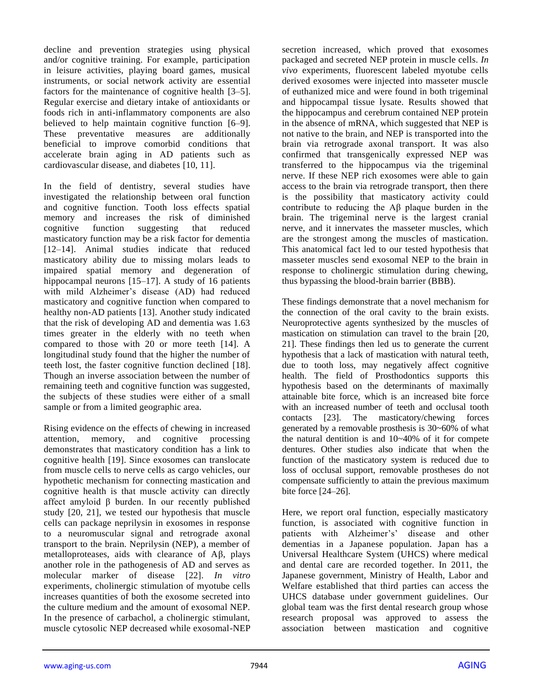decline and prevention strategies using physical and/or cognitive training. For example, participation in leisure activities, playing board games, musical instruments, or social network activity are essential factors for the maintenance of cognitive health [3–5]. Regular exercise and dietary intake of antioxidants or foods rich in anti-inflammatory components are also believed to help maintain cognitive function [6–9]. These preventative measures are additionally beneficial to improve comorbid conditions that accelerate brain aging in AD patients such as cardiovascular disease, and diabetes [10, 11].

In the field of dentistry, several studies have investigated the relationship between oral function and cognitive function. Tooth loss effects spatial memory and increases the risk of diminished cognitive function suggesting that reduced masticatory function may be a risk factor for dementia [12–14]. Animal studies indicate that reduced masticatory ability due to missing molars leads to impaired spatial memory and degeneration of hippocampal neurons [15–17]. A study of 16 patients with mild Alzheimer's disease (AD) had reduced masticatory and cognitive function when compared to healthy non-AD patients [13]. Another study indicated that the risk of developing AD and dementia was 1.63 times greater in the elderly with no teeth when compared to those with 20 or more teeth [14]. A longitudinal study found that the higher the number of teeth lost, the faster cognitive function declined [18]. Though an inverse association between the number of remaining teeth and cognitive function was suggested, the subjects of these studies were either of a small sample or from a limited geographic area.

Rising evidence on the effects of chewing in increased attention, memory, and cognitive processing demonstrates that masticatory condition has a link to cognitive health [19]. Since exosomes can translocate from muscle cells to nerve cells as cargo vehicles, our hypothetic mechanism for connecting mastication and cognitive health is that muscle activity can directly affect amyloid β burden. In our recently published study [20, 21], we tested our hypothesis that muscle cells can package neprilysin in exosomes in response to a neuromuscular signal and retrograde axonal transport to the brain. Neprilysin (NEP), a member of metalloproteases, aids with clearance of Aβ, plays another role in the pathogenesis of AD and serves as molecular marker of disease [22]. *In vitro* experiments, cholinergic stimulation of myotube cells increases quantities of both the exosome secreted into the culture medium and the amount of exosomal NEP. In the presence of carbachol, a cholinergic stimulant, muscle cytosolic NEP decreased while exosomal-NEP secretion increased, which proved that exosomes packaged and secreted NEP protein in muscle cells. *In vivo* experiments, fluorescent labeled myotube cells derived exosomes were injected into masseter muscle of euthanized mice and were found in both trigeminal and hippocampal tissue lysate. Results showed that the hippocampus and cerebrum contained NEP protein in the absence of mRNA, which suggested that NEP is not native to the brain, and NEP is transported into the brain via retrograde axonal transport. It was also confirmed that transgenically expressed NEP was transferred to the hippocampus via the trigeminal nerve. If these NEP rich exosomes were able to gain access to the brain via retrograde transport, then there is the possibility that masticatory activity could contribute to reducing the Aβ plaque burden in the brain. The trigeminal nerve is the largest cranial nerve, and it innervates the masseter muscles, which are the strongest among the muscles of mastication. This anatomical fact led to our tested hypothesis that masseter muscles send exosomal NEP to the brain in response to cholinergic stimulation during chewing, thus bypassing the blood-brain barrier (BBB).

These findings demonstrate that a novel mechanism for the connection of the oral cavity to the brain exists. Neuroprotective agents synthesized by the muscles of mastication on stimulation can travel to the brain [20, 21]. These findings then led us to generate the current hypothesis that a lack of mastication with natural teeth, due to tooth loss, may negatively affect cognitive health. The field of Prosthodontics supports this hypothesis based on the determinants of maximally attainable bite force, which is an increased bite force with an increased number of teeth and occlusal tooth contacts [23]. The masticatory/chewing forces generated by a removable prosthesis is 30~60% of what the natural dentition is and 10~40% of it for compete dentures. Other studies also indicate that when the function of the masticatory system is reduced due to loss of occlusal support, removable prostheses do not compensate sufficiently to attain the previous maximum bite force [24–26].

Here, we report oral function, especially masticatory function, is associated with cognitive function in patients with Alzheimer's' disease and other dementias in a Japanese population. Japan has a Universal Healthcare System (UHCS) where medical and dental care are recorded together. In 2011, the Japanese government, Ministry of Health, Labor and Welfare established that third parties can access the UHCS database under government guidelines. Our global team was the first dental research group whose research proposal was approved to assess the association between mastication and cognitive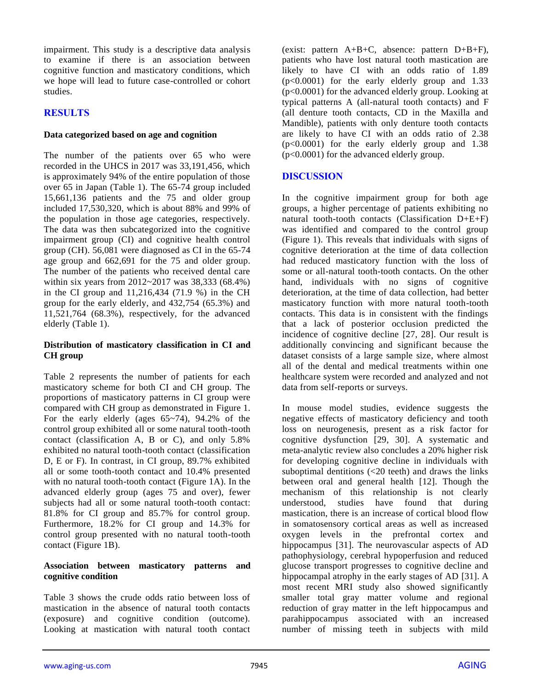impairment. This study is a descriptive data analysis to examine if there is an association between cognitive function and masticatory conditions, which we hope will lead to future case-controlled or cohort studies.

# **RESULTS**

## **Data categorized based on age and cognition**

The number of the patients over 65 who were recorded in the UHCS in 2017 was 33,191,456, which is approximately 94% of the entire population of those over 65 in Japan (Table 1). The 65-74 group included 15,661,136 patients and the 75 and older group included 17,530,320, which is about 88% and 99% of the population in those age categories, respectively. The data was then subcategorized into the cognitive impairment group (CI) and cognitive health control group (CH). 56,081 were diagnosed as CI in the 65-74 age group and 662,691 for the 75 and older group. The number of the patients who received dental care within six years from 2012~2017 was 38,333 (68.4%) in the CI group and 11,216,434 (71.9 %) in the CH group for the early elderly, and 432,754 (65.3%) and 11,521,764 (68.3%), respectively, for the advanced elderly (Table 1).

### **Distribution of masticatory classification in CI and CH group**

Table 2 represents the number of patients for each masticatory scheme for both CI and CH group. The proportions of masticatory patterns in CI group were compared with CH group as demonstrated in Figure 1. For the early elderly (ages 65~74), 94.2% of the control group exhibited all or some natural tooth-tooth contact (classification A, B or C), and only 5.8% exhibited no natural tooth-tooth contact (classification D, E or F). In contrast, in CI group, 89.7% exhibited all or some tooth-tooth contact and 10.4% presented with no natural tooth-tooth contact (Figure 1A). In the advanced elderly group (ages 75 and over), fewer subjects had all or some natural tooth-tooth contact: 81.8% for CI group and 85.7% for control group. Furthermore, 18.2% for CI group and 14.3% for control group presented with no natural tooth-tooth contact (Figure 1B).

#### **Association between masticatory patterns and cognitive condition**

Table 3 shows the crude odds ratio between loss of mastication in the absence of natural tooth contacts (exposure) and cognitive condition (outcome). Looking at mastication with natural tooth contact (exist: pattern  $A+B+C$ , absence: pattern  $D+B+F$ ), patients who have lost natural tooth mastication are likely to have CI with an odds ratio of 1.89 (p<0.0001) for the early elderly group and 1.33 (p<0.0001) for the advanced elderly group. Looking at typical patterns A (all-natural tooth contacts) and F (all denture tooth contacts, CD in the Maxilla and Mandible), patients with only denture tooth contacts are likely to have CI with an odds ratio of 2.38 (p<0.0001) for the early elderly group and 1.38 (p<0.0001) for the advanced elderly group.

# **DISCUSSION**

In the cognitive impairment group for both age groups, a higher percentage of patients exhibiting no natural tooth-tooth contacts (Classification D+E+F) was identified and compared to the control group (Figure 1). This reveals that individuals with signs of cognitive deterioration at the time of data collection had reduced masticatory function with the loss of some or all-natural tooth-tooth contacts. On the other hand, individuals with no signs of cognitive deterioration, at the time of data collection, had better masticatory function with more natural tooth-tooth contacts. This data is in consistent with the findings that a lack of posterior occlusion predicted the incidence of cognitive decline [27, 28]. Our result is additionally convincing and significant because the dataset consists of a large sample size, where almost all of the dental and medical treatments within one healthcare system were recorded and analyzed and not data from self-reports or surveys.

In mouse model studies, evidence suggests the negative effects of masticatory deficiency and tooth loss on neurogenesis, present as a risk factor for cognitive dysfunction [29, 30]. A systematic and meta-analytic review also concludes a 20% higher risk for developing cognitive decline in individuals with suboptimal dentitions (<20 teeth) and draws the links between oral and general health [12]. Though the mechanism of this relationship is not clearly understood, studies have found that during mastication, there is an increase of cortical blood flow in somatosensory cortical areas as well as increased oxygen levels in the prefrontal cortex and hippocampus [31]. The neurovascular aspects of AD pathophysiology, cerebral hypoperfusion and reduced glucose transport progresses to cognitive decline and hippocampal atrophy in the early stages of AD [31]. A most recent MRI study also showed significantly smaller total gray matter volume and regional reduction of gray matter in the left hippocampus and parahippocampus associated with an increased number of missing teeth in subjects with mild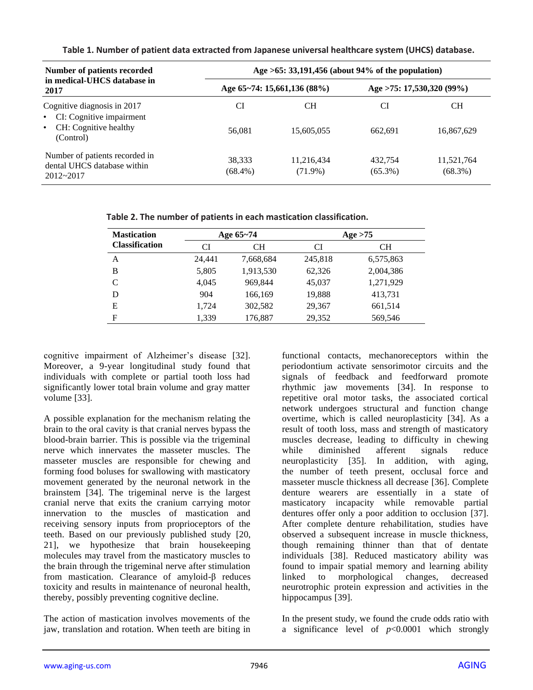| Number of patients recorded                                                                                             | Age $>65: 33,191,456$ (about 94% of the population) |                             |                           |                          |  |
|-------------------------------------------------------------------------------------------------------------------------|-----------------------------------------------------|-----------------------------|---------------------------|--------------------------|--|
| in medical-UHCS database in<br>2017                                                                                     |                                                     | Age 65~74: 15,661,136 (88%) | Age >75: 17,530,320 (99%) |                          |  |
| Cognitive diagnosis in 2017<br>CI: Cognitive impairment<br>$\bullet$<br>CH: Cognitive healthy<br>$\bullet$<br>(Control) | CI<br>56.081                                        | CН<br>15,605,055            | CI<br>662.691             | <b>CH</b><br>16,867,629  |  |
| Number of patients recorded in<br>dental UHCS database within<br>$2012 - 2017$                                          | 38.333<br>$(68.4\%)$                                | 11,216,434<br>$(71.9\%)$    | 432.754<br>$(65.3\%)$     | 11,521,764<br>$(68.3\%)$ |  |

**Table 1. Number of patient data extracted from Japanese universal healthcare system (UHCS) database.**

**Table 2. The number of patients in each mastication classification.**

| <b>Mastication</b>    | Age 65~74 |           | Age $>75$ |           |  |
|-----------------------|-----------|-----------|-----------|-----------|--|
| <b>Classification</b> | CI        | CН        | CI        | <b>CH</b> |  |
| А                     | 24.441    | 7,668,684 | 245,818   | 6,575,863 |  |
| B                     | 5,805     | 1,913,530 | 62,326    | 2,004,386 |  |
| C                     | 4.045     | 969,844   | 45,037    | 1,271,929 |  |
| D                     | 904       | 166,169   | 19,888    | 413,731   |  |
| Е                     | 1.724     | 302,582   | 29,367    | 661,514   |  |
| F                     | 1,339     | 176,887   | 29,352    | 569,546   |  |

cognitive impairment of Alzheimer's disease [32]. Moreover, a 9-year longitudinal study found that individuals with complete or partial tooth loss had significantly lower total brain volume and gray matter volume [33].

A possible explanation for the mechanism relating the brain to the oral cavity is that cranial nerves bypass the blood-brain barrier. This is possible via the trigeminal nerve which innervates the masseter muscles. The masseter muscles are responsible for chewing and forming food boluses for swallowing with masticatory movement generated by the neuronal network in the brainstem [34]. The trigeminal nerve is the largest cranial nerve that exits the cranium carrying motor innervation to the muscles of mastication and receiving sensory inputs from proprioceptors of the teeth. Based on our previously published study [20, 21], we hypothesize that brain housekeeping molecules may travel from the masticatory muscles to the brain through the trigeminal nerve after stimulation from mastication. Clearance of amyloid-β reduces toxicity and results in maintenance of neuronal health, thereby, possibly preventing cognitive decline.

The action of mastication involves movements of the jaw, translation and rotation. When teeth are biting in functional contacts, mechanoreceptors within the periodontium activate sensorimotor circuits and the signals of feedback and feedforward promote rhythmic jaw movements [34]. In response to repetitive oral motor tasks, the associated cortical network undergoes structural and function change overtime, which is called neuroplasticity [34]. As a result of tooth loss, mass and strength of masticatory muscles decrease, leading to difficulty in chewing while diminished afferent signals reduce neuroplasticity [35]. In addition, with aging, the number of teeth present, occlusal force and masseter muscle thickness all decrease [36]. Complete denture wearers are essentially in a state of masticatory incapacity while removable partial dentures offer only a poor addition to occlusion [37]. After complete denture rehabilitation, studies have observed a subsequent increase in muscle thickness, though remaining thinner than that of dentate individuals [38]. Reduced masticatory ability was found to impair spatial memory and learning ability linked to morphological changes, decreased neurotrophic protein expression and activities in the hippocampus [39].

In the present study, we found the crude odds ratio with a significance level of *p*<0.0001 which strongly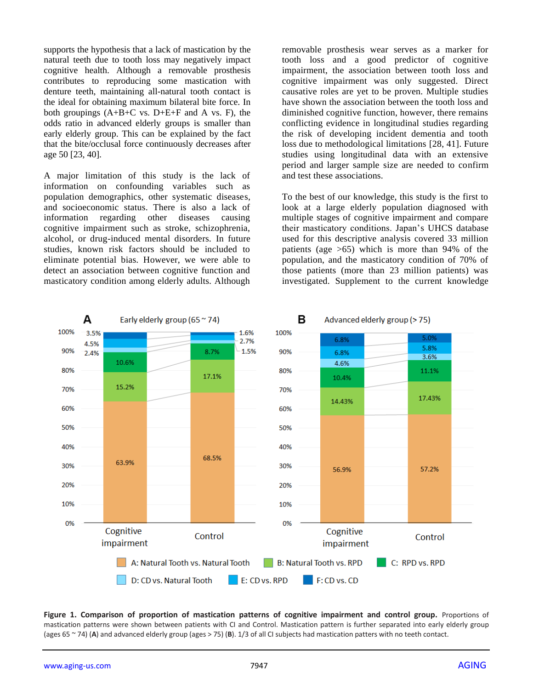supports the hypothesis that a lack of mastication by the natural teeth due to tooth loss may negatively impact cognitive health. Although a removable prosthesis contributes to reproducing some mastication with denture teeth, maintaining all-natural tooth contact is the ideal for obtaining maximum bilateral bite force. In both groupings  $(A+B+C$  vs.  $D+E+F$  and A vs. F), the odds ratio in advanced elderly groups is smaller than early elderly group. This can be explained by the fact that the bite/occlusal force continuously decreases after age 50 [23, 40].

A major limitation of this study is the lack of information on confounding variables such as population demographics, other systematic diseases, and socioeconomic status. There is also a lack of information regarding other diseases causing cognitive impairment such as stroke, schizophrenia, alcohol, or drug-induced mental disorders. In future studies, known risk factors should be included to eliminate potential bias. However, we were able to detect an association between cognitive function and masticatory condition among elderly adults. Although

removable prosthesis wear serves as a marker for tooth loss and a good predictor of cognitive impairment, the association between tooth loss and cognitive impairment was only suggested. Direct causative roles are yet to be proven. Multiple studies have shown the association between the tooth loss and diminished cognitive function, however, there remains conflicting evidence in longitudinal studies regarding the risk of developing incident dementia and tooth loss due to methodological limitations [28, 41]. Future studies using longitudinal data with an extensive period and larger sample size are needed to confirm and test these associations.

To the best of our knowledge, this study is the first to look at a large elderly population diagnosed with multiple stages of cognitive impairment and compare their masticatory conditions. Japan's UHCS database used for this descriptive analysis covered 33 million patients (age >65) which is more than 94% of the population, and the masticatory condition of 70% of those patients (more than 23 million patients) was investigated. Supplement to the current knowledge



Figure 1. Comparison of proportion of mastication patterns of cognitive impairment and control group. Proportions of mastication patterns were shown between patients with CI and Control. Mastication pattern is further separated into early elderly group (ages 65 ~ 74) (**A**) and advanced elderly group (ages > 75) (**B**). 1/3 of all CI subjects had mastication patters with no teeth contact.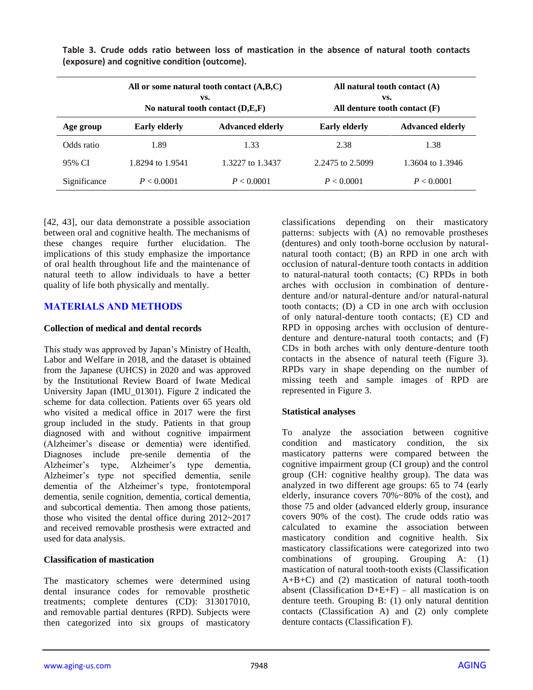|              |                                                 | All or some natural tooth contact $(A,B,C)$<br>VS.<br>No natural tooth contact $(D,E,F)$ | All natural tooth contact $(A)$<br>VS.<br>All denture tooth contact $(F)$ |                         |  |
|--------------|-------------------------------------------------|------------------------------------------------------------------------------------------|---------------------------------------------------------------------------|-------------------------|--|
| Age group    | <b>Early elderly</b><br><b>Advanced elderly</b> |                                                                                          | <b>Early elderly</b>                                                      | <b>Advanced elderly</b> |  |
| Odds ratio   | 1.89                                            | 1.33                                                                                     | 2.38                                                                      | 1.38                    |  |
| 95% CI       | 1.8294 to 1.9541                                | 1.3227 to 1.3437                                                                         | 2.2475 to 2.5099                                                          | 1.3604 to 1.3946        |  |
| Significance | P < 0.0001                                      | P < 0.0001                                                                               | P < 0.0001                                                                | P < 0.0001              |  |

**Table 3. Crude odds ratio between loss of mastication in the absence of natural tooth contacts (exposure) and cognitive condition (outcome).**

[42, 43], our data demonstrate a possible association between oral and cognitive health. The mechanisms of these changes require further elucidation. The implications of this study emphasize the importance of oral health throughout life and the maintenance of natural teeth to allow individuals to have a better quality of life both physically and mentally.

# **MATERIALS AND METHODS**

## **Collection of medical and dental records**

This study was approved by Japan's Ministry of Health, Labor and Welfare in 2018, and the dataset is obtained from the Japanese (UHCS) in 2020 and was approved by the Institutional Review Board of Iwate Medical University Japan (IMU\_01301). Figure 2 indicated the scheme for data collection. Patients over 65 years old who visited a medical office in 2017 were the first group included in the study. Patients in that group diagnosed with and without cognitive impairment (Alzheimer's disease or dementia) were identified. Diagnoses include pre-senile dementia of the Alzheimer's type, Alzheimer's type dementia, Alzheimer's type not specified dementia, senile dementia of the Alzheimer's type, frontotemporal dementia, senile cognition, dementia, cortical dementia, and subcortical dementia. Then among those patients, those who visited the dental office during 2012~2017 and received removable prosthesis were extracted and used for data analysis.

## **Classification of mastication**

The masticatory schemes were determined using dental insurance codes for removable prosthetic treatments; complete dentures (CD): 313017010, and removable partial dentures (RPD). Subjects were then categorized into six groups of masticatory

classifications depending on their masticatory patterns: subjects with (A) no removable prostheses (dentures) and only tooth-borne occlusion by naturalnatural tooth contact; (B) an RPD in one arch with occlusion of natural-denture tooth contacts in addition to natural-natural tooth contacts; (C) RPDs in both arches with occlusion in combination of denturedenture and/or natural-denture and/or natural-natural tooth contacts; (D) a CD in one arch with occlusion of only natural-denture tooth contacts; (E) CD and RPD in opposing arches with occlusion of denturedenture and denture-natural tooth contacts; and (F) CDs in both arches with only denture-denture tooth contacts in the absence of natural teeth (Figure 3). RPDs vary in shape depending on the number of missing teeth and sample images of RPD are represented in Figure 3.

## **Statistical analyses**

To analyze the association between cognitive condition and masticatory condition, the six masticatory patterns were compared between the cognitive impairment group (CI group) and the control group (CH: cognitive healthy group). The data was analyzed in two different age groups: 65 to 74 (early elderly, insurance covers 70%~80% of the cost), and those 75 and older (advanced elderly group, insurance covers 90% of the cost). The crude odds ratio was calculated to examine the association between masticatory condition and cognitive health. Six masticatory classifications were categorized into two combinations of grouping. Grouping A: (1) mastication of natural tooth-tooth exists (Classification  $A+B+C$ ) and (2) mastication of natural tooth-tooth absent (Classification  $D+E+F$ ) – all mastication is on denture teeth. Grouping B: (1) only natural dentition contacts (Classification A) and (2) only complete denture contacts (Classification F).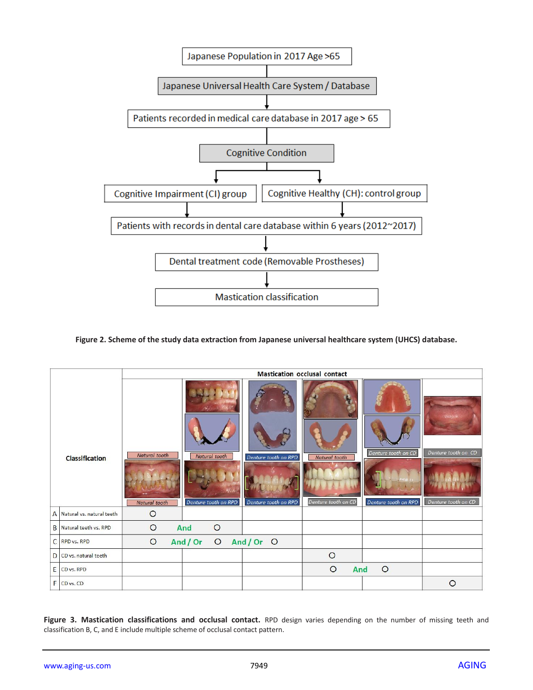

**Figure 2. Scheme of the study data extraction from Japanese universal healthcare system (UHCS) database.**

|                       |                                | <b>Mastication occlusal contact</b> |                                       |                                              |                                      |                                             |                                            |
|-----------------------|--------------------------------|-------------------------------------|---------------------------------------|----------------------------------------------|--------------------------------------|---------------------------------------------|--------------------------------------------|
| <b>Classification</b> |                                | Natural tooth<br>Natural tooth      | Natural tooth<br>Denture tooth on RPD | Denture tooth on RPD<br>Denture tooth on RPD | Natural tooth<br>Denture tooth on CD | Denture tooth on CD<br>Denture tooth on RPD | Denture tooth on CD<br>Denture tooth on CD |
|                       | A Natural vs. natural teeth    | $\circ$                             |                                       |                                              |                                      |                                             |                                            |
|                       | <b>B</b> Natural teeth vs. RPD | $\circ$                             | $\circ$<br>And                        |                                              |                                      |                                             |                                            |
|                       | C RPD vs. RPD                  | And / Or<br>O And/Or O<br>$\circ$   |                                       |                                              |                                      |                                             |                                            |
|                       | D CD vs. natural teeth         |                                     |                                       |                                              | $\circ$                              |                                             |                                            |
|                       | E CD <sub>vs</sub> . RPD       |                                     |                                       |                                              | $\circ$<br>And                       | $\circ$                                     |                                            |
|                       | F CD vs. CD                    |                                     |                                       |                                              |                                      |                                             | $\circ$                                    |

Figure 3. Mastication classifications and occlusal contact. RPD design varies depending on the number of missing teeth and classification B, C, and E include multiple scheme of occlusal contact pattern.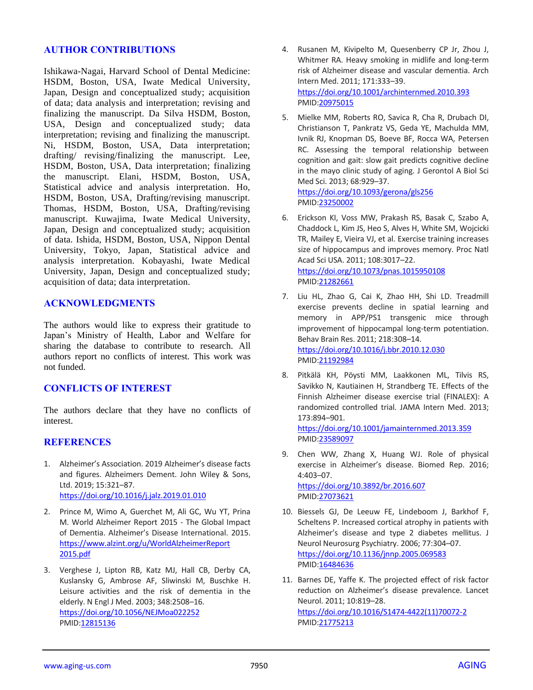# **AUTHOR CONTRIBUTIONS**

Ishikawa-Nagai, Harvard School of Dental Medicine: HSDM, Boston, USA, Iwate Medical University, Japan, Design and conceptualized study; acquisition of data; data analysis and interpretation; revising and finalizing the manuscript. Da Silva HSDM, Boston, USA, Design and conceptualized study; data interpretation; revising and finalizing the manuscript. Ni, HSDM, Boston, USA, Data interpretation; drafting/ revising/finalizing the manuscript. Lee, HSDM, Boston, USA, Data interpretation; finalizing the manuscript. Elani, HSDM, Boston, USA, Statistical advice and analysis interpretation. Ho, HSDM, Boston, USA, Drafting/revising manuscript. Thomas, HSDM, Boston, USA, Drafting/revising manuscript. Kuwajima, Iwate Medical University, Japan, Design and conceptualized study; acquisition of data. Ishida, HSDM, Boston, USA, Nippon Dental University, Tokyo, Japan, Statistical advice and analysis interpretation. Kobayashi, Iwate Medical University, Japan, Design and conceptualized study; acquisition of data; data interpretation.

# **ACKNOWLEDGMENTS**

The authors would like to express their gratitude to Japan's Ministry of Health, Labor and Welfare for sharing the database to contribute to research. All authors report no conflicts of interest. This work was not funded.

# **CONFLICTS OF INTEREST**

The authors declare that they have no conflicts of interest.

# **REFERENCES**

- 1. Alzheimer's Association. 2019 Alzheimer's disease facts and figures. Alzheimers Dement. John Wiley & Sons, Ltd. 2019; 15:321–87. <https://doi.org/10.1016/j.jalz.2019.01.010>
- 2. Prince M, Wimo A, Guerchet M, Ali GC, Wu YT, Prina M. World Alzheimer Report 2015 - The Global Impact of Dementia. Alzheimer's Disease International. 2015. [https://www.alzint.org/u/WorldAlzheimerReport](https://www.alzint.org/u/WorldAlzheimerReport2015.pdf) [2015.pdf](https://www.alzint.org/u/WorldAlzheimerReport2015.pdf)
- 3. Verghese J, Lipton RB, Katz MJ, Hall CB, Derby CA, Kuslansky G, Ambrose AF, Sliwinski M, Buschke H. Leisure activities and the risk of dementia in the elderly. N Engl J Med. 2003; 348:2508–16. <https://doi.org/10.1056/NEJMoa022252> PMID[:12815136](https://pubmed.ncbi.nlm.nih.gov/12815136)
- 4. Rusanen M, Kivipelto M, Quesenberry CP Jr, Zhou J, Whitmer RA. Heavy smoking in midlife and long-term risk of Alzheimer disease and vascular dementia. Arch Intern Med. 2011; 171:333–39. <https://doi.org/10.1001/archinternmed.2010.393> PMI[D:20975015](https://pubmed.ncbi.nlm.nih.gov/20975015)
- 5. Mielke MM, Roberts RO, Savica R, Cha R, Drubach DI, Christianson T, Pankratz VS, Geda YE, Machulda MM, Ivnik RJ, Knopman DS, Boeve BF, Rocca WA, Petersen RC. Assessing the temporal relationship between cognition and gait: slow gait predicts cognitive decline in the mayo clinic study of aging. J Gerontol A Biol Sci Med Sci. 2013; 68:929–37. <https://doi.org/10.1093/gerona/gls256>

PMI[D:23250002](https://pubmed.ncbi.nlm.nih.gov/23250002)

- 6. Erickson KI, Voss MW, Prakash RS, Basak C, Szabo A, Chaddock L, Kim JS, Heo S, Alves H, White SM, Wojcicki TR, Mailey E, Vieira VJ, et al. Exercise training increases size of hippocampus and improves memory. Proc Natl Acad Sci USA. 2011; 108:3017–22. <https://doi.org/10.1073/pnas.1015950108> PMI[D:21282661](https://pubmed.ncbi.nlm.nih.gov/21282661)
- 7. Liu HL, Zhao G, Cai K, Zhao HH, Shi LD. Treadmill exercise prevents decline in spatial learning and memory in APP/PS1 transgenic mice through improvement of hippocampal long-term potentiation. Behav Brain Res. 2011; 218:308–14. <https://doi.org/10.1016/j.bbr.2010.12.030> PMI[D:21192984](https://pubmed.ncbi.nlm.nih.gov/21192984)
- 8. Pitkälä KH, Pöysti MM, Laakkonen ML, Tilvis RS, Savikko N, Kautiainen H, Strandberg TE. Effects of the Finnish Alzheimer disease exercise trial (FINALEX): A randomized controlled trial. JAMA Intern Med. 2013; 173:894–901.

<https://doi.org/10.1001/jamainternmed.2013.359> PMI[D:23589097](https://pubmed.ncbi.nlm.nih.gov/23589097)

- 9. Chen WW, Zhang X, Huang WJ. Role of physical exercise in Alzheimer's disease. Biomed Rep. 2016; 4:403–07. <https://doi.org/10.3892/br.2016.607> PMI[D:27073621](https://pubmed.ncbi.nlm.nih.gov/27073621)
- 10. Biessels GJ, De Leeuw FE, Lindeboom J, Barkhof F, Scheltens P. Increased cortical atrophy in patients with Alzheimer's disease and type 2 diabetes mellitus. J Neurol Neurosurg Psychiatry. 2006; 77:304–07. <https://doi.org/10.1136/jnnp.2005.069583> PMI[D:16484636](https://pubmed.ncbi.nlm.nih.gov/16484636)
- 11. Barnes DE, Yaffe K. The projected effect of risk factor reduction on Alzheimer's disease prevalence. Lancet Neurol. 2011; 10:819–28. [https://doi.org/10.1016/S1474-4422\(11\)70072-2](https://doi.org/10.1016/S1474-4422(11)70072-2) PMI[D:21775213](https://pubmed.ncbi.nlm.nih.gov/21775213)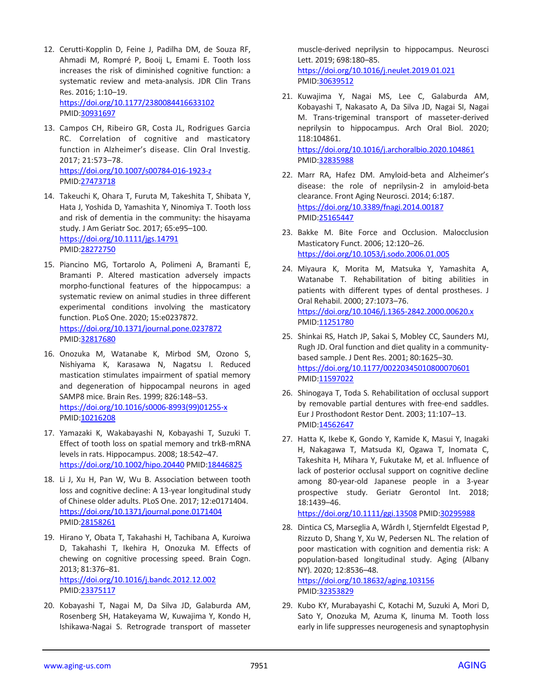- 12. Cerutti-Kopplin D, Feine J, Padilha DM, de Souza RF, Ahmadi M, Rompré P, Booij L, Emami E. Tooth loss increases the risk of diminished cognitive function: a systematic review and meta-analysis. JDR Clin Trans Res. 2016; 1:10–19. <https://doi.org/10.1177/2380084416633102> PMID[:30931697](https://pubmed.ncbi.nlm.nih.gov/30931697)
- 13. Campos CH, Ribeiro GR, Costa JL, Rodrigues Garcia RC. Correlation of cognitive and masticatory function in Alzheimer's disease. Clin Oral Investig. 2017; 21:573–78. <https://doi.org/10.1007/s00784-016-1923-z> PMID[:27473718](https://pubmed.ncbi.nlm.nih.gov/27473718)
- 14. Takeuchi K, Ohara T, Furuta M, Takeshita T, Shibata Y, Hata J, Yoshida D, Yamashita Y, Ninomiya T. Tooth loss and risk of dementia in the community: the hisayama study. J Am Geriatr Soc. 2017; 65:e95–100. <https://doi.org/10.1111/jgs.14791> PMID[:28272750](https://pubmed.ncbi.nlm.nih.gov/28272750)
- 15. Piancino MG, Tortarolo A, Polimeni A, Bramanti E, Bramanti P. Altered mastication adversely impacts morpho-functional features of the hippocampus: a systematic review on animal studies in three different experimental conditions involving the masticatory function. PLoS One. 2020; 15:e0237872. <https://doi.org/10.1371/journal.pone.0237872> PMID[:32817680](https://pubmed.ncbi.nlm.nih.gov/32817680)
- 16. Onozuka M, Watanabe K, Mirbod SM, Ozono S, Nishiyama K, Karasawa N, Nagatsu I. Reduced mastication stimulates impairment of spatial memory and degeneration of hippocampal neurons in aged SAMP8 mice. Brain Res. 1999; 826:148–53. [https://doi.org/10.1016/s0006-8993\(99\)01255-x](https://doi.org/10.1016/s0006-8993(99)01255-x) PMID[:10216208](https://pubmed.ncbi.nlm.nih.gov/10216208)
- 17. Yamazaki K, Wakabayashi N, Kobayashi T, Suzuki T. Effect of tooth loss on spatial memory and trkB-mRNA levels in rats. Hippocampus. 2008; 18:542–47. <https://doi.org/10.1002/hipo.20440> PMI[D:18446825](https://pubmed.ncbi.nlm.nih.gov/18446825)
- 18. Li J, Xu H, Pan W, Wu B. Association between tooth loss and cognitive decline: A 13-year longitudinal study of Chinese older adults. PLoS One. 2017; 12:e0171404. <https://doi.org/10.1371/journal.pone.0171404> PMID[:28158261](https://pubmed.ncbi.nlm.nih.gov/28158261)
- 19. Hirano Y, Obata T, Takahashi H, Tachibana A, Kuroiwa D, Takahashi T, Ikehira H, Onozuka M. Effects of chewing on cognitive processing speed. Brain Cogn. 2013; 81:376–81. <https://doi.org/10.1016/j.bandc.2012.12.002> PMID[:23375117](https://pubmed.ncbi.nlm.nih.gov/23375117)
- 20. Kobayashi T, Nagai M, Da Silva JD, Galaburda AM, Rosenberg SH, Hatakeyama W, Kuwajima Y, Kondo H, Ishikawa-Nagai S. Retrograde transport of masseter

muscle-derived neprilysin to hippocampus. Neurosci Lett. 2019; 698:180–85.

<https://doi.org/10.1016/j.neulet.2019.01.021> PMI[D:30639512](https://pubmed.ncbi.nlm.nih.gov/30639512)

- 21. Kuwajima Y, Nagai MS, Lee C, Galaburda AM, Kobayashi T, Nakasato A, Da Silva JD, Nagai SI, Nagai M. Trans-trigeminal transport of masseter-derived neprilysin to hippocampus. Arch Oral Biol. 2020; 118:104861. <https://doi.org/10.1016/j.archoralbio.2020.104861> PMI[D:32835988](https://pubmed.ncbi.nlm.nih.gov/32835988)
- 22. Marr RA, Hafez DM. Amyloid-beta and Alzheimer's disease: the role of neprilysin-2 in amyloid-beta clearance. Front Aging Neurosci. 2014; 6:187. <https://doi.org/10.3389/fnagi.2014.00187> PMI[D:25165447](https://pubmed.ncbi.nlm.nih.gov/25165447)
- 23. Bakke M. Bite Force and Occlusion. Malocclusion Masticatory Funct. 2006; 12:120–26. <https://doi.org/10.1053/j.sodo.2006.01.005>
- 24. Miyaura K, Morita M, Matsuka Y, Yamashita A, Watanabe T. Rehabilitation of biting abilities in patients with different types of dental prostheses. J Oral Rehabil. 2000; 27:1073–76. <https://doi.org/10.1046/j.1365-2842.2000.00620.x> PMI[D:11251780](https://pubmed.ncbi.nlm.nih.gov/11251780)
- 25. Shinkai RS, Hatch JP, Sakai S, Mobley CC, Saunders MJ, Rugh JD. Oral function and diet quality in a communitybased sample. J Dent Res. 2001; 80:1625–30. <https://doi.org/10.1177/00220345010800070601> PMI[D:11597022](https://pubmed.ncbi.nlm.nih.gov/11597022)
- 26. Shinogaya T, Toda S. Rehabilitation of occlusal support by removable partial dentures with free-end saddles. Eur J Prosthodont Restor Dent. 2003; 11:107–13. PMI[D:14562647](https://pubmed.ncbi.nlm.nih.gov/14562647)
- 27. Hatta K, Ikebe K, Gondo Y, Kamide K, Masui Y, Inagaki H, Nakagawa T, Matsuda KI, Ogawa T, Inomata C, Takeshita H, Mihara Y, Fukutake M, et al. Influence of lack of posterior occlusal support on cognitive decline among 80-year-old Japanese people in a 3-year prospective study. Geriatr Gerontol Int. 2018; 18:1439–46.

<https://doi.org/10.1111/ggi.13508> PMID[:30295988](https://pubmed.ncbi.nlm.nih.gov/30295988)

28. Dintica CS, Marseglia A, Wårdh I, Stjernfeldt Elgestad P, Rizzuto D, Shang Y, Xu W, Pedersen NL. The relation of poor mastication with cognition and dementia risk: A population-based longitudinal study. Aging (Albany NY). 2020; 12:8536–48. <https://doi.org/10.18632/aging.103156>

PMI[D:32353829](https://pubmed.ncbi.nlm.nih.gov/32353829)

29. Kubo KY, Murabayashi C, Kotachi M, Suzuki A, Mori D, Sato Y, Onozuka M, Azuma K, Iinuma M. Tooth loss early in life suppresses neurogenesis and synaptophysin